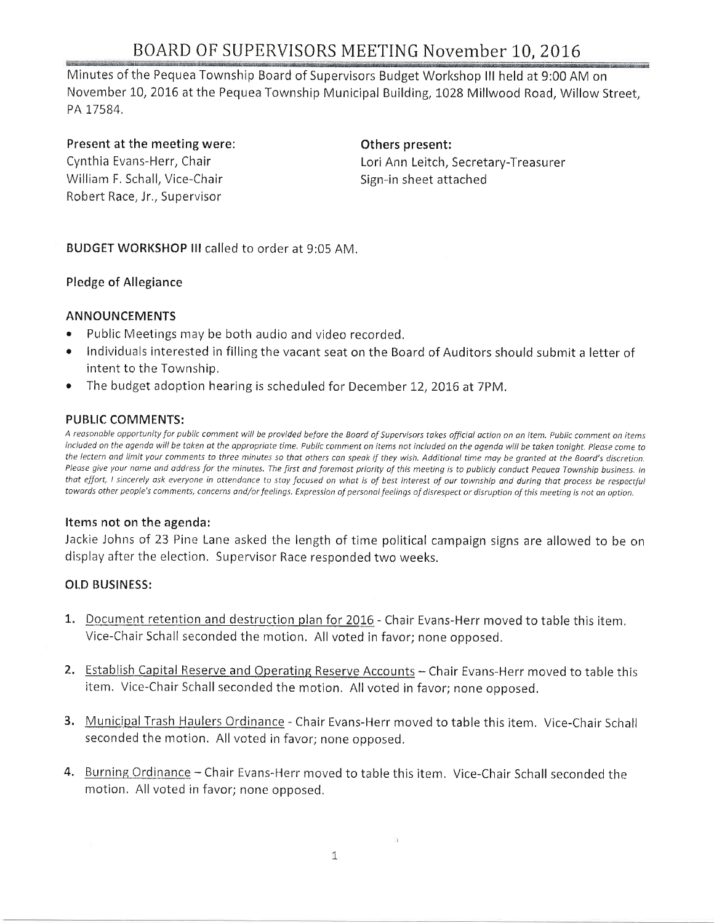# BOARD OF SUPERVISORS MEETING November 10, 2016

Minutes of the Pequea Township Board of Supervisors Budget Workshop lll held at 9:00 AM on November 10, 2016 at the Pequea Township Municipal Building, 1028 Millwood Road, Willow Street, PA 17584.

## Present at the meeting were:

Cynthia Evans-Herr, Chair William F, Schall, Vice-Chair Rohert Race, Jr., Supervisor

Others present: Lori Ann Leitch, Secretary-Treasurer Sign-in sheet attached

BUDGET WORKSHOP lll called to order at 9:05 AM.

## Pledge of Allegiance

## ANNOUNCEMENTS

- Public Meetings may be both audio and video recorded,
- $\bullet$  Individuals interested in filling the vacant seat on the Board of Auditors should submit a letter of intent to the Township.
- The budget adoption hearing is scheduled for December 12, 2016 at 7PM.

## PUBLIC COMMENTS:

A reasonable opportunity for public comment will be provided before the Board of Supervisors takes official action on an item. Public comment on items included on the agenda will be taken at the appropriate time. Public comment on items not included on the agenda will be taken tonight. Please come to the lectern and limit your comments to three minutes so that others can speak if they wish. Additional time may be granted at the Board's discretion. Please give your name and address for the minutes. The first and foremost priority of this meeting is to publicly conduct Pequea Township business. In that effort, I sincerely ask everyone in attendance to stay focused on what is of best interest of our township and during that process be respectful towards other people's comments, concerns and/or feelings. Expression of personal feelings of disrespect or disruption of this meeting is not an option.

#### Items not on the agenda:

Jackie Johns of 23 Pine Lane asked the length of time political campaign signs are allowed to be on display after the election, Supervisor Race responded two weeks,

## OLD BUSINESS:

- 1. Document retention and destruction plan for 2016 Chair Evans-Herr moved to table this item, Vice-Chair Schall seconded the motion, All voted in favor; none opposed,
- 2. Establish Capital Reserve and Operating Reserve Accounts Chair Evans-Herr moved to table this item. Vice-Chair Schall seconded the motion. All voted in favor; none opposed.
- 3. Municipal Trash Haulers Ordinance Chair Evans-Herr moved to table this item. Vice-Chair Schall seconded the motion, All voted in favor; none opposed,
- 4. Burning Ordinance Chair Evans-Herr moved to table this item. Vice-Chair Schall seconded the motion, All voted in favor; none opposed,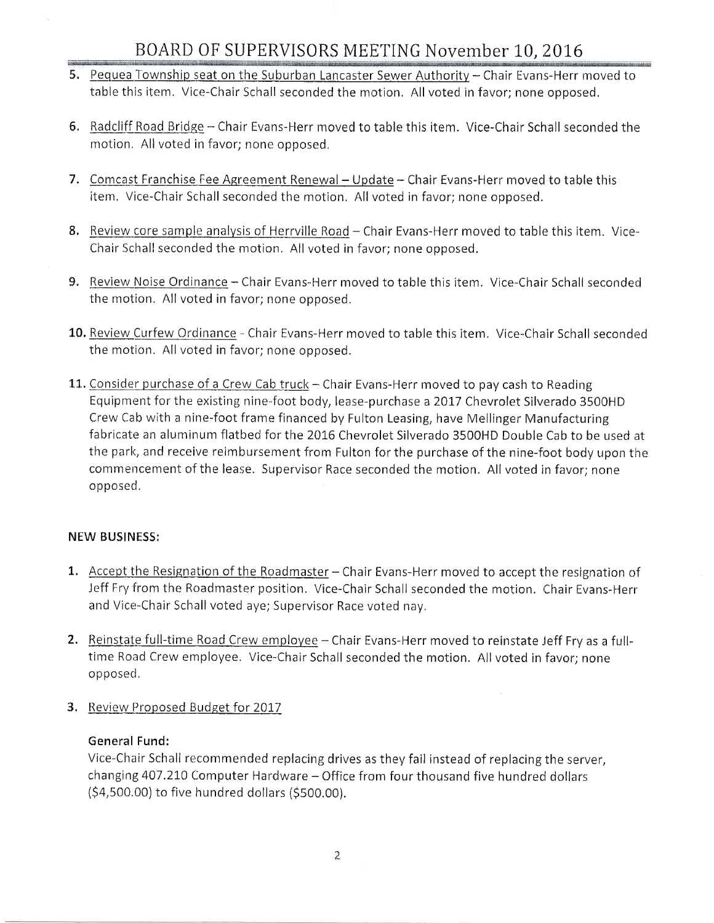- 5. Pequea Township seat on the Suburban Lancaster Sewer Authority Chair Evans-Herr moved to table this item, Vice-Chair Schall seconded the motion, All voted in favor; none opposed,
- 6. Radcliff Road Bridge Chair Evans-Herr moved to table this item. Vice-Chair Schall seconded the motion. All voted in favor; none opposed,
- 7. Comcast Franchise Fee Agreement Renewal Update Chair Evans-Herr moved to table this item, Vice-Chair Schall seconded the motion, All voted in favor; none opposed.
- 8. Review core sample analysis of Herrville Road Chair Evans-Herr moved to table this item. Vice-Chair Schall seconded the motion. All voted in favor; none opposed.
- 9. Review Noise Ordinance Chair Evans-Herr moved to table this item. Vice-Chair Schall seconded the motion. All voted in favor; none opposed,
- 10. Review Curfew Ordinance Chair Evans-Herr moved to table this item. Vice-Chair Schall seconded the motion, All voted in favor; none opposed.
- 11. Consider purchase of a Crew Cab truck Chair Evans-Herr moved to pay cash to Reading Equipment for the existing nine-foot body, lease-purchase a 2017 Chevrolet Silverado 3500HD Crew Cab with a nine-foot frame financed by Fulton Leasing, have Mellinger Manufacturing fabricate an aluminum flatbed forthe 2016 Chevrolet Silverado 3500HD Double Cab to be used at the park, and receive reimbursement from Fulton for the purchase of the nine-foot body upon the commencement of the lease. Supervisor Race seconded the motion. All voted in favor; none op posed,

# NEW BUSINESS:

- 1. Accept the Resignation of the Roadmaster Chair Evans-Herr moved to accept the resignation of Jeff Fry from the Roadmaster position. Vice-Chair Schall seconded the motion. Chair Evans-Herr and Vice-Chair Schall voted aye; Supervisor Race voted nay.
- 2. Reinstate full-time Road Crew employee Chair Evans-Herr moved to reinstate Jeff Fry as a fulltime Road Crew employee. Vice-Chair Schall seconded the motion. All voted in favor; none opposed.
- 3. Review Proposed Budget for 2017

# General Fund:

Vice-Chair Schall recommended replacing drives as they fail instead of replacing the server, changing 407.210 Computer Hardware - Office from four thousand five hundred dollars (S+,SoO.oO1 to five hundred dollars (\$500,00).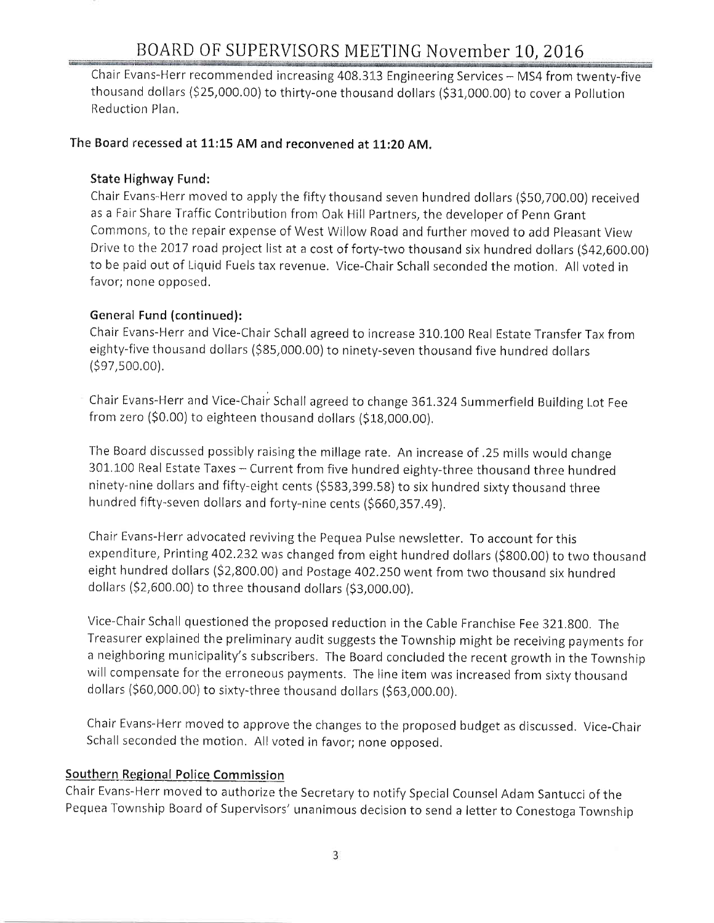# BOARD OF SUPERVISORS MEETING November 10, 2016

Chair Evans-Herr recommended increasing 408.313 Engineering Services - MS4 from twenty-five thousand dollars (\$25,000.00) to thirty-one thousand dollars (\$31,000.00) to cover a Pollution Reduction Plan.

## The Board recessed at 11:15 AM and reconvened at 11:20 AM.

### State Highway Fund:

Chair Evans-Herr moved to apply the fifty thousand seven hundred dollars (\$50,700.00) received as a Fair Share Traffic Contribution from Oak Hill Partners, the developer of Penn Grant Commons, to the repair expense of West Willow Road and further moved to add Pleasant View Drive to the 2017 road project list at a cost of forty-two thousand six hundred dollars (\$42,600.00) to be paid out of Liquid Fuels tax revenue, Vice-Chair Schall seconded the motion. All voted in favor; none opposed,

### General Fund (continued):

Chair Evans-Herr and Vice-Chair Schall agreed to increase 310.100 Real Estate TransferTax from eighty-five thousand dollars (\$85,000.00) to ninety-seven thousand five hundred dollars (s97,s00,00).

Chair Evans-Herr and Vice-Chair Schall agreed to change 361.324 Summerfield Building Lot Fee from zero (\$0.00) to eighteen thousand dollars (\$18,000.00).

The Board discussed possibly raising the millage rate. An increase of .25 mills would change 301,100 Real Estate Taxes - Current from five hundred eighty-three thousand three hundred ninety-nine dollars and fifty-eight cents (\$583,399.58) to six hundred sixty thousand three hundred fifty-seven dollars and forty-nine cents (\$660,357.49).

Chair Evans-Herr advocated reviving the Pequea Pulse newsletter. To account for this expenditure, Printing 402.232 was changed from eight hundred dollars (\$800.00) to two thousand eight hundred dollars (\$2,800.00) and Postage 402.250 went from two thousand six hundred dollars (\$2,600.00) to three thousand dollars (\$3,000.00).

Vice-Chair Schall questioned the proposed reduction in the Cable Franchise Fee 321.800. The Treasurer explained the preliminary audit suggests the Township might be receiving payments for a neighboring municipality's subscribers. The Board concluded the recent growth in the Township will compensate for the erroneous payments. The line item was increased from sixty thousand dollars (560,000,00) to sixty-three thousand dollars (S63,000.00),

Chair Evans-Herr moved to approve the changes to the proposed budget as discussed. Vice-Chair Schall seconded the motion. All voted in favor; none opposed.

#### Southern Regional Police Commission

Chair Evans-Herr moved to authorize the Secretary to notify Special Counsel Adam Santucci of the Pequea Township Board of Supervisors' unanimous decision to send a letter to Conestoga Township